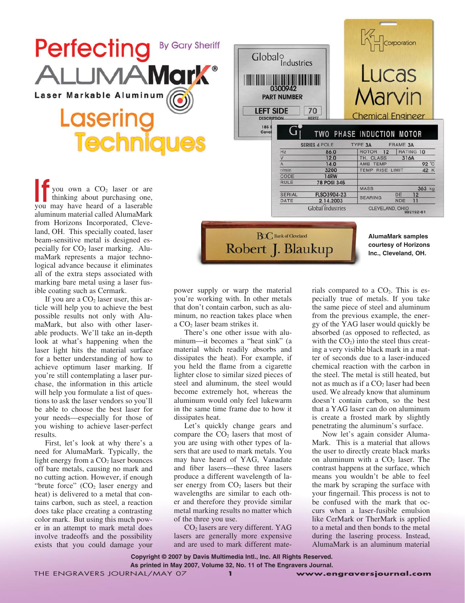



If you are a  $CO<sub>2</sub>$  laser user, this article will help you to achieve the best possible results not only with AlumaMark, but also with other laserable products. We'll take an in-depth look at what's happening when the laser light hits the material surface for a better understanding of how to achieve optimum laser marking. If you're still contemplating a laser purchase, the information in this article will help you formulate a list of questions to ask the laser vendors so you'll be able to choose the best laser for your needs—especially for those of you wishing to achieve laser-perfect results.

First, let's look at why there's a need for AlumaMark. Typically, the light energy from a  $CO<sub>2</sub>$  laser bounces off bare metals, causing no mark and no cutting action. However, if enough "brute force"  $(CO<sub>2</sub>$  laser energy and heat) is delivered to a metal that contains carbon, such as steel, a reaction does take place creating a contrasting color mark. But using this much power in an attempt to mark metal does involve tradeoffs and the possibility exists that you could damage your

power supply or warp the material you're working with. In other metals that don't contain carbon, such as aluminum, no reaction takes place when a CO2 laser beam strikes it.

Robert J. Blaukup

There's one other issue with aluminum—it becomes a "heat sink" (a material which readily absorbs and dissipates the heat). For example, if you held the flame from a cigarette lighter close to similar sized pieces of steel and aluminum, the steel would become extremely hot, whereas the aluminum would only feel lukewarm in the same time frame due to how it dissipates heat.

Let's quickly change gears and compare the  $CO<sub>2</sub>$  lasers that most of you are using with other types of lasers that are used to mark metals. You may have heard of YAG, Vanadate and fiber lasers—these three lasers produce a different wavelength of laser energy from  $CO<sub>2</sub>$  lasers but their wavelengths are similar to each other and therefore they provide similar metal marking results no matter which of the three you use.

CO2 lasers are very different. YAG lasers are generally more expensive and are used to mark different mate-

Globalo Lucas **The Community of the Community** 0300942 *Aarvin* **PART NUMBER LEFT SIDE** 70 **Chemical Engineer DESCRIPTION HERTZ** 185<br>Ceve TWO PHASE INDUCTION MOTOR TYPE 3A FRAME 3A **SERIES 4 POLE** ROTOR 12 RATING 10  $Hz$  $86.0$  $\overline{\mathsf{v}}$  $12.0$ 316A TH. CLASS AMB TEMP 92 °C  $14.0$  $\overline{A}$ TEMP RISE LIMIT  $r/m$ in  $3200$ 42 K CODE **14RW RULE 78 POSI 345 MASS** 363 kg FLSO3904-23 SERIAL DE **BEARING**  $NDE$ DATE 2.14.2003 CLEVELAND, OHIO<br>992192-61 Global industries **BOC** Bank of Cleveland

**AlumaMark samples courtesy of Horizons Inc., Cleveland, OH.**

rials compared to a  $CO<sub>2</sub>$ . This is especially true of metals. If you take the same piece of steel and aluminum from the previous example, the energy of the YAG laser would quickly be absorbed (as opposed to reflected, as with the  $CO<sub>2</sub>$ ) into the steel thus creating a very visible black mark in a matter of seconds due to a laser-induced chemical reaction with the carbon in the steel. The metal is still heated, but not as much as if a  $CO<sub>2</sub>$  laser had been used. We already know that aluminum doesn't contain carbon, so the best that a YAG laser can do on aluminum is create a frosted mark by slightly penetrating the aluminum's surface.

Now let's again consider Aluma-Mark. This is a material that allows the user to directly create black marks on aluminum with a  $CO<sub>2</sub>$  laser. The contrast happens at the surface, which means you wouldn't be able to feel the mark by scraping the surface with your fingernail. This process is not to be confused with the mark that occurs when a laser-fusible emulsion like CerMark or TherMark is applied to a metal and then bonds to the metal during the lasering process. Instead, AlumaMark is an aluminum material

**Copyright © 2007 by Davis Multimedia Intl., Inc. All Rights Reserved.**

**As printed in May 2007, Volume 32, No. 11 of The Engravers Journal.**

THE ENGRAVERS JOURNAL/MAY 07 **www.engraversjournal.com**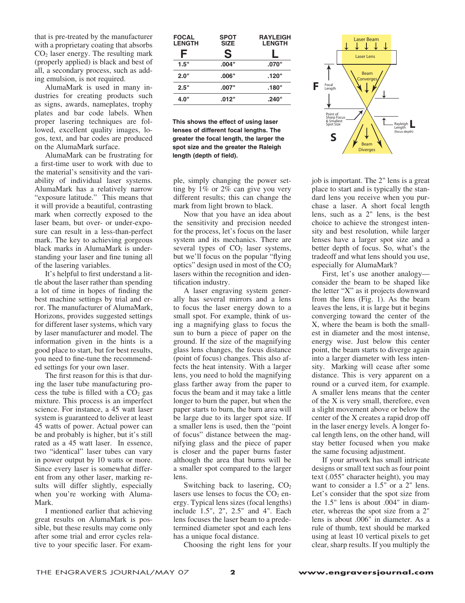that is pre-treated by the manufacturer with a proprietary coating that absorbs  $CO<sub>2</sub>$  laser energy. The resulting mark (properly applied) is black and best of all, a secondary process, such as adding emulsion, is not required.

AlumaMark is used in many industries for creating products such as signs, awards, nameplates, trophy plates and bar code labels. When proper lasering techniques are followed, excellent quality images, logos, text, and bar codes are produced on the AlumaMark surface.

AlumaMark can be frustrating for a first-time user to work with due to the material's sensitivity and the variability of individual laser systems. AlumaMark has a relatively narrow "exposure latitude." This means that it will provide a beautiful, contrasting mark when correctly exposed to the laser beam, but over- or under-exposure can result in a less-than-perfect mark. The key to achieving gorgeous black marks in AlumaMark is understanding your laser and fine tuning all of the lasering variables.

It's helpful to first understand a little about the laser rather than spending a lot of time in hopes of finding the best machine settings by trial and error. The manufacturer of AlumaMark, Horizons, provides suggested settings for different laser systems, which vary by laser manufacturer and model. The information given in the hints is a good place to start, but for best results, you need to fine-tune the recommended settings for your own laser.

The first reason for this is that during the laser tube manufacturing process the tube is filled with a  $CO<sub>2</sub>$  gas mixture. This process is an imperfect science. For instance, a 45 watt laser system is guaranteed to deliver at least 45 watts of power. Actual power can be and probably is higher, but it's still rated as a 45 watt laser. In essence, two "identical" laser tubes can vary in power output by 10 watts or more. Since every laser is somewhat different from any other laser, marking results will differ slightly, especially when you're working with Aluma-Mark.

I mentioned earlier that achieving great results on AlumaMark is possible, but these results may come only after some trial and error cycles relative to your specific laser. For exam-

| <b>FOCAL</b><br><b>LENGTH</b> | <b>SPOT</b><br><b>SIZE</b> | <b>RAYLEIGH</b><br><b>LENGTH</b> |
|-------------------------------|----------------------------|----------------------------------|
| F                             | S                          |                                  |
| 1.5"                          | .004"                      | .070"                            |
| 2.0"                          | .006"                      | .120"                            |
| 2.5"                          | .007"                      | "180.                            |
| 4.0"                          | .012"                      | .240"                            |
|                               |                            |                                  |

**This shows the effect of using laser lenses of different focal lengths. The greater the focal length, the larger the spot size and the greater the Raleigh length (depth of field).**

ple, simply changing the power setting by 1% or 2% can give you very different results; this can change the mark from light brown to black.

Now that you have an idea about the sensitivity and precision needed for the process, let's focus on the laser system and its mechanics. There are several types of  $CO<sub>2</sub>$  laser systems, but we'll focus on the popular "flying optics" design used in most of the  $CO<sub>2</sub>$ lasers within the recognition and identification industry.

A laser engraving system generally has several mirrors and a lens to focus the laser energy down to a small spot. For example, think of using a magnifying glass to focus the sun to burn a piece of paper on the ground. If the size of the magnifying glass lens changes, the focus distance (point of focus) changes. This also affects the heat intensity. With a larger lens, you need to hold the magnifying glass farther away from the paper to focus the beam and it may take a little longer to burn the paper, but when the paper starts to burn, the burn area will be large due to its larger spot size. If a smaller lens is used, then the "point of focus" distance between the magnifying glass and the piece of paper is closer and the paper burns faster although the area that burns will be a smaller spot compared to the larger lens.

Switching back to lasering,  $CO<sub>2</sub>$ lasers use lenses to focus the  $CO<sub>2</sub>$  energy. Typical lens sizes (focal lengths) include 1.5", 2", 2.5" and 4". Each lens focuses the laser beam to a predetermined diameter spot and each lens has a unique focal distance.

Choosing the right lens for your



job is important. The 2" lens is a great place to start and is typically the standard lens you receive when you purchase a laser. A short focal length lens, such as a 2" lens, is the best choice to achieve the strongest intensity and best resolution, while larger lenses have a larger spot size and a better depth of focus. So, what's the tradeoff and what lens should you use, especially for AlumaMark?

First, let's use another analogy consider the beam to be shaped like the letter "X" as it projects downward from the lens (Fig. 1). As the beam leaves the lens, it is large but it begins converging toward the center of the X, where the beam is both the smallest in diameter and the most intense, energy wise. Just below this center point, the beam starts to diverge again into a larger diameter with less intensity. Marking will cease after some distance. This is very apparent on a round or a curved item, for example. A smaller lens means that the center of the X is very small, therefore, even a slight movement above or below the center of the X creates a rapid drop off in the laser energy levels. A longer focal length lens, on the other hand, will stay better focused when you make the same focusing adjustment.

If your artwork has small intricate designs or small text such as four point text (.055" character height), you may want to consider a 1.5" or a 2" lens. Let's consider that the spot size from the 1.5" lens is about .004" in diameter, whereas the spot size from a 2" lens is about .006" in diameter. As a rule of thumb, text should be marked using at least 10 vertical pixels to get clear, sharp results. If you multiply the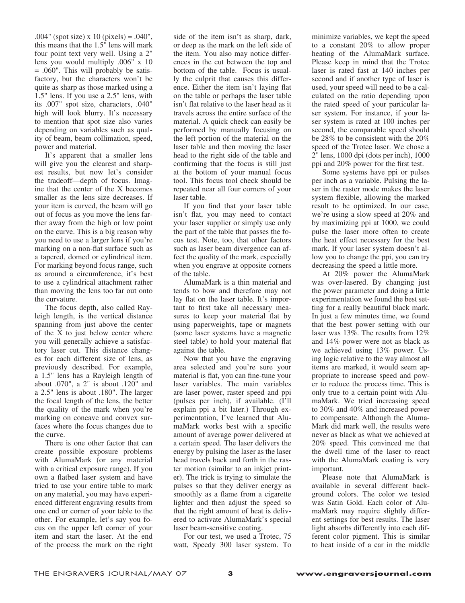previously described. For example, a 1.5" lens has a Rayleigh length of about .070", a 2" is about .120" and a 2.5" lens is about .180". The larger the focal length of the lens, the better the quality of the mark when you're marking on concave and convex sur-

.004" (spot size) x 10 (pixels) = .040", this means that the 1.5" lens will mark four point text very well. Using a 2" lens you would multiply .006" x 10 = .060". This will probably be satisfactory, but the characters won't be quite as sharp as those marked using a 1.5" lens. If you use a 2.5" lens, with its .007" spot size, characters, .040" high will look blurry. It's necessary to mention that spot size also varies depending on variables such as quality of beam, beam collimation, speed,

It's apparent that a smaller lens will give you the clearest and sharpest results, but now let's consider the tradeoff—depth of focus. Imagine that the center of the X becomes smaller as the lens size decreases. If your item is curved, the beam will go out of focus as you move the lens farther away from the high or low point on the curve. This is a big reason why you need to use a larger lens if you're marking on a non-flat surface such as a tapered, domed or cylindrical item. For marking beyond focus range, such as around a circumference, it's best to use a cylindrical attachment rather than moving the lens too far out onto

The focus depth, also called Rayleigh length, is the vertical distance spanning from just above the center of the X to just below center where you will generally achieve a satisfactory laser cut. This distance changes for each different size of lens, as

power and material.

the curvature.

the curve. There is one other factor that can create possible exposure problems with AlumaMark (or any material with a critical exposure range). If you own a flatbed laser system and have tried to use your entire table to mark on any material, you may have experienced different engraving results from one end or corner of your table to the other. For example, let's say you focus on the upper left corner of your item and start the laser. At the end of the process the mark on the right

faces where the focus changes due to

side of the item isn't as sharp, dark, or deep as the mark on the left side of the item. You also may notice differences in the cut between the top and bottom of the table. Focus is usually the culprit that causes this difference. Either the item isn't laying flat on the table or perhaps the laser table isn't flat relative to the laser head as it travels across the entire surface of the material. A quick check can easily be performed by manually focusing on the left portion of the material on the laser table and then moving the laser head to the right side of the table and confirming that the focus is still just at the bottom of your manual focus tool. This focus tool check should be repeated near all four corners of your laser table.

If you find that your laser table isn't flat, you may need to contact your laser supplier or simply use only the part of the table that passes the focus test. Note, too, that other factors such as laser beam divergence can affect the quality of the mark, especially when you engrave at opposite corners of the table.

AlumaMark is a thin material and tends to bow and therefore may not lay flat on the laser table. It's important to first take all necessary measures to keep your material flat by using paperweights, tape or magnets (some laser systems have a magnetic steel table) to hold your material flat against the table.

Now that you have the engraving area selected and you're sure your material is flat, you can fine-tune your laser variables. The main variables are laser power, raster speed and ppi (pulses per inch), if available. (I'll explain ppi a bit later.) Through experimentation, I've learned that AlumaMark works best with a specific amount of average power delivered at a certain speed. The laser delivers the energy by pulsing the laser as the laser head travels back and forth in the raster motion (similar to an inkjet printer). The trick is trying to simulate the pulses so that they deliver energy as smoothly as a flame from a cigarette lighter and then adjust the speed so that the right amount of heat is delivered to activate AlumaMark's special laser beam-sensitive coating.

For our test, we used a Trotec, 75 watt, Speedy 300 laser system. To minimize variables, we kept the speed to a constant 20% to allow proper heating of the AlumaMark surface. Please keep in mind that the Trotec laser is rated fast at 140 inches per second and if another type of laser is used, your speed will need to be a calculated on the ratio depending upon the rated speed of your particular laser system. For instance, if your laser system is rated at 100 inches per second, the comparable speed should be 28% to be consistent with the 20% speed of the Trotec laser. We chose a 2" lens, 1000 dpi (dots per inch), 1000 ppi and 20% power for the first test.

Some systems have ppi or pulses per inch as a variable. Pulsing the laser in the raster mode makes the laser system flexible, allowing the marked result to be optimized. In our case, we're using a slow speed at 20% and by maximizing ppi at 1000, we could pulse the laser more often to create the heat effect necessary for the best mark. If your laser system doesn't allow you to change the ppi, you can try decreasing the speed a little more.

At 20% power the AlumaMark was over-lasered. By changing just the power parameter and doing a little experimentation we found the best setting for a really beautiful black mark. In just a few minutes time, we found that the best power setting with our laser was 13%. The results from 12% and 14% power were not as black as we achieved using 13% power. Using logic relative to the way almost all items are marked, it would seem appropriate to increase speed and power to reduce the process time. This is only true to a certain point with AlumaMark. We tried increasing speed to 30% and 40% and increased power to compensate. Although the Aluma-Mark did mark well, the results were never as black as what we achieved at 20% speed. This convinced me that the dwell time of the laser to react with the AlumaMark coating is very important.

Please note that AlumaMark is available in several different background colors. The color we tested was Satin Gold. Each color of AlumaMark may require slightly different settings for best results. The laser light absorbs differently into each different color pigment. This is similar to heat inside of a car in the middle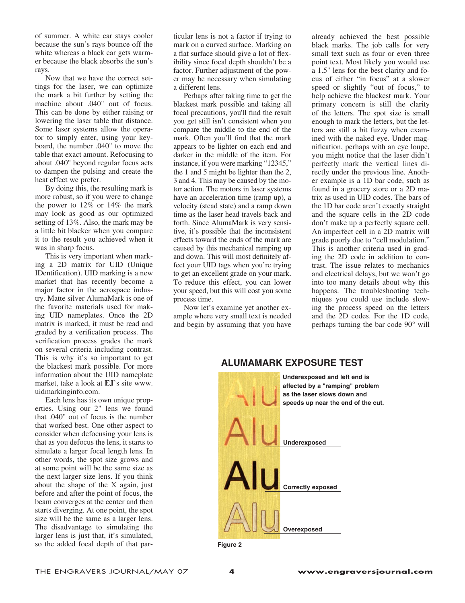of summer. A white car stays cooler because the sun's rays bounce off the white whereas a black car gets warmer because the black absorbs the sun's rays.

Now that we have the correct settings for the laser, we can optimize the mark a bit further by setting the machine about .040" out of focus. This can be done by either raising or lowering the laser table that distance. Some laser systems allow the operator to simply enter, using your keyboard, the number .040" to move the table that exact amount. Refocusing to about .040" beyond regular focus acts to dampen the pulsing and create the heat effect we prefer.

By doing this, the resulting mark is more robust, so if you were to change the power to 12% or 14% the mark may look as good as our optimized setting of 13%. Also, the mark may be a little bit blacker when you compare it to the result you achieved when it was in sharp focus.

This is very important when marking a 2D matrix for UID (Unique IDentification). UID marking is a new market that has recently become a major factor in the aerospace industry. Matte silver AlumaMark is one of the favorite materials used for making UID nameplates. Once the 2D matrix is marked, it must be read and graded by a verification process. The verification process grades the mark on several criteria including contrast. This is why it's so important to get the blackest mark possible. For more information about the UID nameplate market, take a look at **EJ**'s site www. uidmarkinginfo.com.

Each lens has its own unique properties. Using our 2" lens we found that .040" out of focus is the number that worked best. One other aspect to consider when defocusing your lens is that as you defocus the lens, it starts to simulate a larger focal length lens. In other words, the spot size grows and at some point will be the same size as the next larger size lens. If you think about the shape of the X again, just before and after the point of focus, the beam converges at the center and then starts diverging. At one point, the spot size will be the same as a larger lens. The disadvantage to simulating the larger lens is just that, it's simulated, so the added focal depth of that particular lens is not a factor if trying to mark on a curved surface. Marking on a flat surface should give a lot of flexibility since focal depth shouldn't be a factor. Further adjustment of the power may be necessary when simulating a different lens.

Perhaps after taking time to get the blackest mark possible and taking all focal precautions, you'll find the result you get still isn't consistent when you compare the middle to the end of the mark. Often you'll find that the mark appears to be lighter on each end and darker in the middle of the item. For instance, if you were marking "12345," the 1 and 5 might be lighter than the 2, 3 and 4. This may be caused by the motor action. The motors in laser systems have an acceleration time (ramp up), a velocity (stead state) and a ramp down time as the laser head travels back and forth. Since AlumaMark is very sensitive, it's possible that the inconsistent effects toward the ends of the mark are caused by this mechanical ramping up and down. This will most definitely affect your UID tags when you're trying to get an excellent grade on your mark. To reduce this effect, you can lower your speed, but this will cost you some process time.

Now let's examine yet another example where very small text is needed and begin by assuming that you have

already achieved the best possible black marks. The job calls for very small text such as four or even three point text. Most likely you would use a 1.5" lens for the best clarity and focus of either "in focus" at a slower speed or slightly "out of focus," to help achieve the blackest mark. Your primary concern is still the clarity of the letters. The spot size is small enough to mark the letters, but the letters are still a bit fuzzy when examined with the naked eye. Under magnification, perhaps with an eye loupe, you might notice that the laser didn't perfectly mark the vertical lines directly under the previous line. Another example is a 1D bar code, such as found in a grocery store or a 2D matrix as used in UID codes. The bars of the 1D bar code aren't exactly straight and the square cells in the 2D code don't make up a perfectly square cell. An imperfect cell in a 2D matrix will grade poorly due to "cell modulation." This is another criteria used in grading the 2D code in addition to contrast. The issue relates to mechanics and electrical delays, but we won't go into too many details about why this happens. The troubleshooting techniques you could use include slowing the process speed on the letters and the 2D codes. For the 1D code, perhaps turning the bar code 90° will



## **ALUMAMARK EXPOSURE TEST**

**Figure 2**